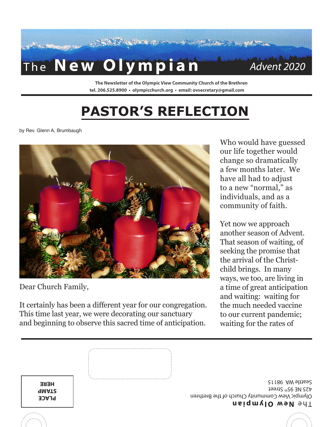

**The Newsletter of the Olympic View Community Church of the Brethren tel. 206.525.8900 • olympicchurch.org • email: ovsecretary@gmail.com**

## **PASTOR'S REFLECTION**

by Rev. Glenn A, Brumbaugh



Dear Church Family,

It certainly has been a different year for our congregation. This time last year, we were decorating our sanctuary and beginning to observe this sacred time of anticipation.

Who would have guessed our life together would change so dramatically a few months later. We have all had to adjust to a new "normal," as individuals, and as a community of faith.

Yet now we approach another season of Advent. That season of waiting, of seeking the promise that the arrival of the Christchild brings. In many ways, we too, are living in a time of great anticipation and waiting: waiting for the much needed vaccine to our current pandemic; waiting for the rates of